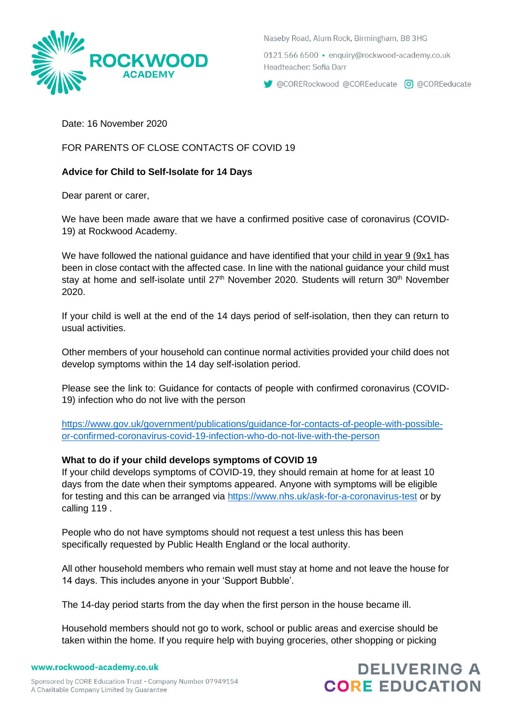

Naseby Road, Alum Rock, Birmingham, B8 3HG

0121 566 6500 · enguiry@rockwood-academy.co.uk Headteacher: Sofia Darr

CORERockwood @COREeducate 0 @COREeducate

Date: 16 November 2020

FOR PARENTS OF CLOSE CONTACTS OF COVID 19

# **Advice for Child to Self-Isolate for 14 Days**

Dear parent or carer,

We have been made aware that we have a confirmed positive case of coronavirus (COVID-19) at Rockwood Academy.

We have followed the national guidance and have identified that your child in year 9 (9x1 has been in close contact with the affected case. In line with the national guidance your child must stay at home and self-isolate until 27<sup>th</sup> November 2020. Students will return 30<sup>th</sup> November 2020.

If your child is well at the end of the 14 days period of self-isolation, then they can return to usual activities.

Other members of your household can continue normal activities provided your child does not develop symptoms within the 14 day self-isolation period.

Please see the link to: Guidance for contacts of people with confirmed coronavirus (COVID-19) infection who do not live with the person

[https://www.gov.uk/government/publications/guidance-for-contacts-of-people-with-possible](https://www.gov.uk/government/publications/guidance-for-contacts-of-people-with-possible-or-confirmed-coronavirus-covid-19-infection-who-do-not-live-with-the-person)[or-confirmed-coronavirus-covid-19-infection-who-do-not-live-with-the-person](https://www.gov.uk/government/publications/guidance-for-contacts-of-people-with-possible-or-confirmed-coronavirus-covid-19-infection-who-do-not-live-with-the-person)

### **What to do if your child develops symptoms of COVID 19**

If your child develops symptoms of COVID-19, they should remain at home for at least 10 days from the date when their symptoms appeared. Anyone with symptoms will be eligible for testing and this can be arranged via<https://www.nhs.uk/ask-for-a-coronavirus-test> or by calling 119 .

People who do not have symptoms should not request a test unless this has been specifically requested by Public Health England or the local authority.

All other household members who remain well must stay at home and not leave the house for 14 days. This includes anyone in your 'Support Bubble'.

The 14-day period starts from the day when the first person in the house became ill.

Household members should not go to work, school or public areas and exercise should be taken within the home. If you require help with buying groceries, other shopping or picking

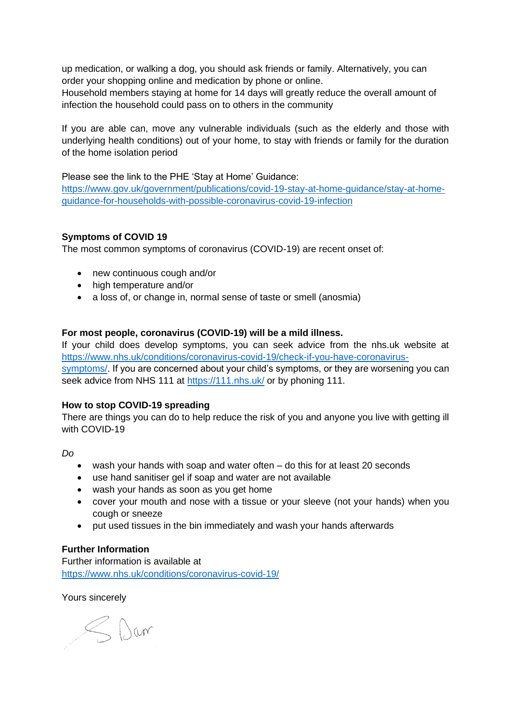up medication, or walking a dog, you should ask friends or family. Alternatively, you can order your shopping online and medication by phone or online.

Household members staying at home for 14 days will greatly reduce the overall amount of infection the household could pass on to others in the community

If you are able can, move any vulnerable individuals (such as the elderly and those with underlying health conditions) out of your home, to stay with friends or family for the duration of the home isolation period

Please see the link to the PHE 'Stay at Home' Guidance: [https://www.gov.uk/government/publications/covid-19-stay-at-home-guidance/stay-at-home](https://www.gov.uk/government/publications/covid-19-stay-at-home-guidance/stay-at-home-guidance-for-households-with-possible-coronavirus-covid-19-infection)[guidance-for-households-with-possible-coronavirus-covid-19-infection](https://www.gov.uk/government/publications/covid-19-stay-at-home-guidance/stay-at-home-guidance-for-households-with-possible-coronavirus-covid-19-infection)

## **Symptoms of COVID 19**

The most common symptoms of coronavirus (COVID-19) are recent onset of:

- new continuous cough and/or
- high temperature and/or
- a loss of, or change in, normal sense of taste or smell (anosmia)

#### **For most people, coronavirus (COVID-19) will be a mild illness.**

If your child does develop symptoms, you can seek advice from the nhs.uk website at [https://www.nhs.uk/conditions/coronavirus-covid-19/check-if-you-have-coronavirus](https://www.nhs.uk/conditions/coronavirus-covid-19/check-if-you-have-coronavirus-symptoms/)[symptoms/.](https://www.nhs.uk/conditions/coronavirus-covid-19/check-if-you-have-coronavirus-symptoms/) If you are concerned about your child's symptoms, or they are worsening you can seek advice from NHS 111 at<https://111.nhs.uk/> or by phoning 111.

#### **How to stop COVID-19 spreading**

There are things you can do to help reduce the risk of you and anyone you live with getting ill with COVID-19

*Do*

- wash your hands with soap and water often do this for at least 20 seconds
- use hand sanitiser gel if soap and water are not available
- wash your hands as soon as you get home
- cover your mouth and nose with a tissue or your sleeve (not your hands) when you cough or sneeze
- put used tissues in the bin immediately and wash your hands afterwards

#### **Further Information**

Further information is available at <https://www.nhs.uk/conditions/coronavirus-covid-19/>

Yours sincerely

SDar